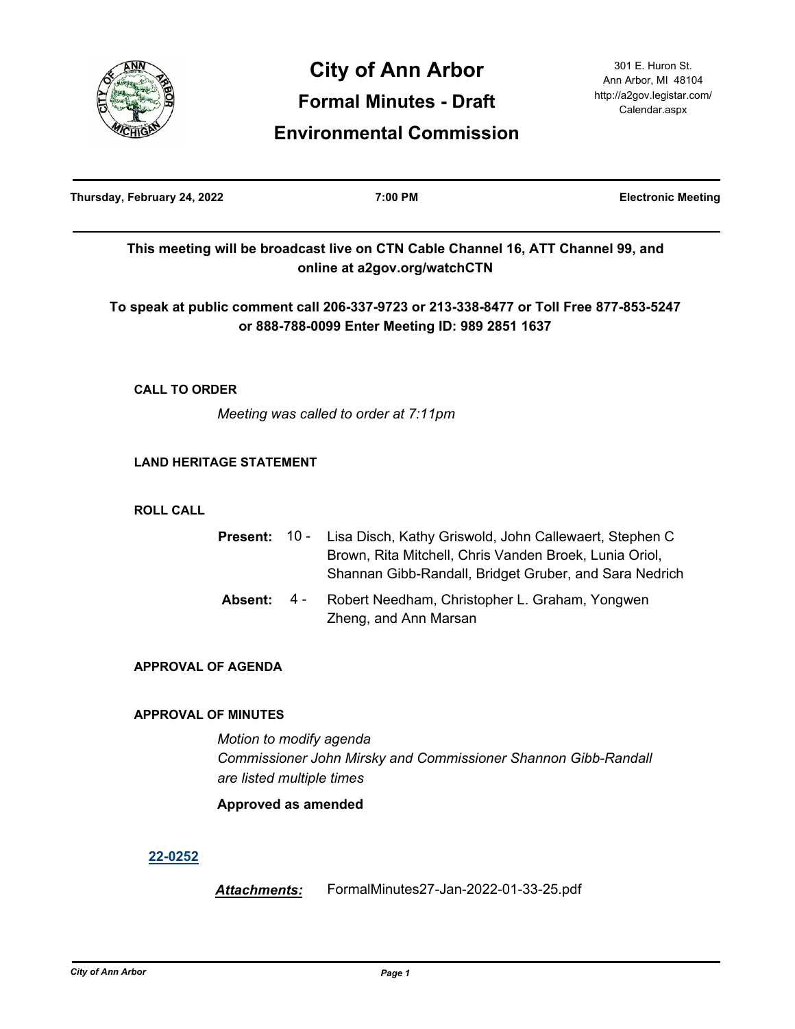

| Thursday, February 24, 2022 |                                                      |      | 7:00 PM                                                                                                                                                                    | <b>Electronic Meeting</b> |
|-----------------------------|------------------------------------------------------|------|----------------------------------------------------------------------------------------------------------------------------------------------------------------------------|---------------------------|
|                             |                                                      |      | This meeting will be broadcast live on CTN Cable Channel 16, ATT Channel 99, and<br>online at a2gov.org/watchCTN                                                           |                           |
|                             |                                                      |      | To speak at public comment call 206-337-9723 or 213-338-8477 or Toll Free 877-853-5247<br>or 888-788-0099 Enter Meeting ID: 989 2851 1637                                  |                           |
| <b>CALL TO ORDER</b>        |                                                      |      |                                                                                                                                                                            |                           |
|                             |                                                      |      | Meeting was called to order at 7:11pm                                                                                                                                      |                           |
|                             | <b>LAND HERITAGE STATEMENT</b>                       |      |                                                                                                                                                                            |                           |
| <b>ROLL CALL</b>            |                                                      |      |                                                                                                                                                                            |                           |
|                             | <b>Present:</b>                                      | 10 - | Lisa Disch, Kathy Griswold, John Callewaert, Stephen C<br>Brown, Rita Mitchell, Chris Vanden Broek, Lunia Oriol,<br>Shannan Gibb-Randall, Bridget Gruber, and Sara Nedrich |                           |
|                             | Absent:                                              | 4 -  | Robert Needham, Christopher L. Graham, Yongwen<br>Zheng, and Ann Marsan                                                                                                    |                           |
|                             | <b>APPROVAL OF AGENDA</b>                            |      |                                                                                                                                                                            |                           |
|                             | <b>APPROVAL OF MINUTES</b>                           |      |                                                                                                                                                                            |                           |
|                             | Motion to modify agenda<br>are listed multiple times |      | Commissioner John Mirsky and Commissioner Shannon Gibb-Randall                                                                                                             |                           |
|                             | Approved as amended                                  |      |                                                                                                                                                                            |                           |
| 22-0252                     |                                                      |      |                                                                                                                                                                            |                           |
|                             | Attachments:                                         |      | FormalMinutes27-Jan-2022-01-33-25.pdf                                                                                                                                      |                           |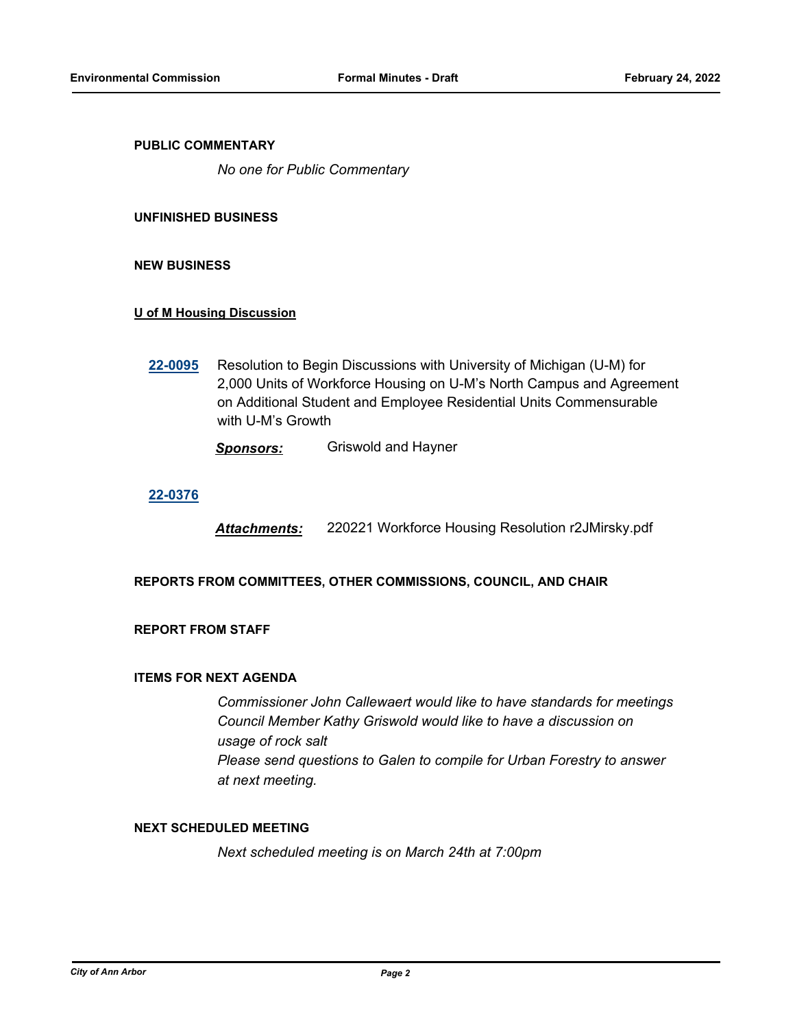## **PUBLIC COMMENTARY**

*No one for Public Commentary*

#### **UNFINISHED BUSINESS**

## **NEW BUSINESS**

## **U of M Housing Discussion**

**[22-0095](http://a2gov.legistar.com/gateway.aspx?M=L&ID=29286)** Resolution to Begin Discussions with University of Michigan (U-M) for 2,000 Units of Workforce Housing on U-M's North Campus and Agreement on Additional Student and Employee Residential Units Commensurable with U-M's Growth

*Sponsors:* Griswold and Hayner

## **[22-0376](http://a2gov.legistar.com/gateway.aspx?M=L&ID=29563)**

*Attachments:* 220221 Workforce Housing Resolution r2JMirsky.pdf

## **REPORTS FROM COMMITTEES, OTHER COMMISSIONS, COUNCIL, AND CHAIR**

# **REPORT FROM STAFF**

#### **ITEMS FOR NEXT AGENDA**

*Commissioner John Callewaert would like to have standards for meetings Council Member Kathy Griswold would like to have a discussion on usage of rock salt Please send questions to Galen to compile for Urban Forestry to answer at next meeting.*

## **NEXT SCHEDULED MEETING**

*Next scheduled meeting is on March 24th at 7:00pm*